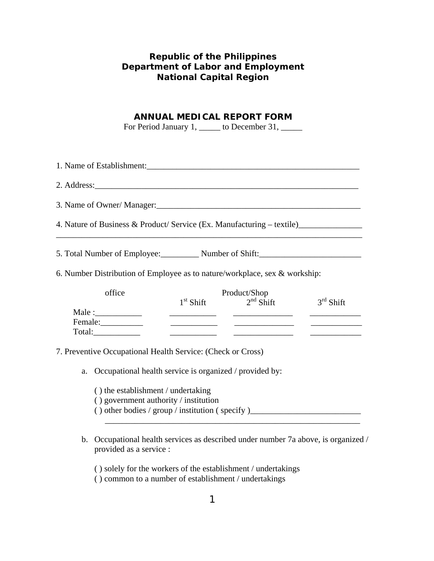## **Republic of the Philippines Department of Labor and Employment National Capital Region**

### **ANNUAL MEDICAL REPORT FORM**

For Period January 1, \_\_\_\_\_ to December 31, \_\_\_\_\_

| 1. Name of Establishment:                                                                                                                                                                                                     |                                                                                                                                                                 |                                         |             |
|-------------------------------------------------------------------------------------------------------------------------------------------------------------------------------------------------------------------------------|-----------------------------------------------------------------------------------------------------------------------------------------------------------------|-----------------------------------------|-------------|
|                                                                                                                                                                                                                               |                                                                                                                                                                 |                                         |             |
| 3. Name of Owner/Manager: 1986 Manager: 1986 Manager: 1986 Manager: 1986 Manager: 1986 Manager: 1986 Manager: 1986 Manager: 1986 Manager: 1986 Manager: 1986 Manager: 1986 Manager: 1986 Manager: 1986 Manager: 1986 Manager: |                                                                                                                                                                 |                                         |             |
| 4. Nature of Business & Product/ Service (Ex. Manufacturing – textile) __________                                                                                                                                             |                                                                                                                                                                 |                                         |             |
| 5. Total Number of Employee: Number of Shift:                                                                                                                                                                                 |                                                                                                                                                                 |                                         |             |
| 6. Number Distribution of Employee as to nature/workplace, sex & workship:                                                                                                                                                    |                                                                                                                                                                 |                                         |             |
| office                                                                                                                                                                                                                        |                                                                                                                                                                 | Product/Shop<br>$1st$ Shift $2nd$ Shift | $3rd$ Shift |
| Female:                                                                                                                                                                                                                       | <u> 1989 - Jan James James, politik eta politik eta politik eta politik eta politik eta politik eta politik eta </u>                                            |                                         |             |
| 7. Preventive Occupational Health Service: (Check or Cross)                                                                                                                                                                   |                                                                                                                                                                 |                                         |             |
| a.                                                                                                                                                                                                                            | Occupational health service is organized / provided by:                                                                                                         |                                         |             |
|                                                                                                                                                                                                                               | () the establishment / undertaking<br>() government authority / institution<br>() other bodies / group / institution (specify)_________________________________ |                                         |             |
| b.<br>provided as a service :                                                                                                                                                                                                 | Occupational health services as described under number 7a above, is organized /                                                                                 |                                         |             |

( ) solely for the workers of the establishment / undertakings

( ) common to a number of establishment / undertakings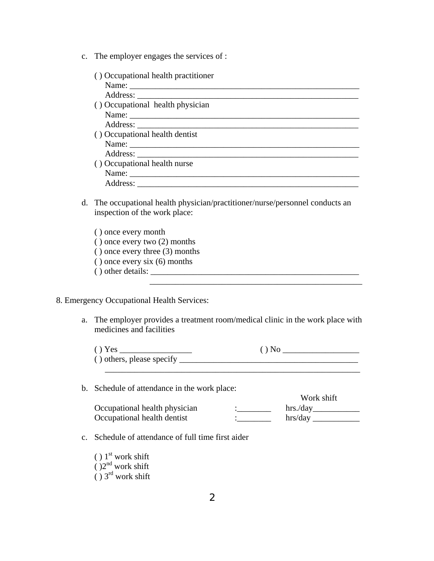c. The employer engages the services of :

| () Occupational health practitioner |  |
|-------------------------------------|--|
|                                     |  |
|                                     |  |
| () Occupational health physician    |  |
| Name:                               |  |
|                                     |  |
| () Occupational health dentist      |  |
|                                     |  |
|                                     |  |
| () Occupational health nurse        |  |
|                                     |  |
|                                     |  |

- d. The occupational health physician/practitioner/nurse/personnel conducts an inspection of the work place:
	- ( ) once every month ( ) once every two (2) months ( ) once every three (3) months ( ) once every six (6) months ( ) other details: \_\_\_\_\_\_\_\_\_\_\_\_\_\_\_\_\_\_\_\_\_\_\_\_\_\_\_\_\_\_\_\_\_\_\_\_\_\_\_\_\_\_\_\_\_\_\_\_\_  $\overline{\phantom{a}}$  ,  $\overline{\phantom{a}}$  ,  $\overline{\phantom{a}}$  ,  $\overline{\phantom{a}}$  ,  $\overline{\phantom{a}}$  ,  $\overline{\phantom{a}}$  ,  $\overline{\phantom{a}}$  ,  $\overline{\phantom{a}}$  ,  $\overline{\phantom{a}}$  ,  $\overline{\phantom{a}}$  ,  $\overline{\phantom{a}}$  ,  $\overline{\phantom{a}}$  ,  $\overline{\phantom{a}}$  ,  $\overline{\phantom{a}}$  ,  $\overline{\phantom{a}}$  ,  $\overline{\phantom{a}}$

#### 8. Emergency Occupational Health Services:

a. The employer provides a treatment room/medical clinic in the work place with medicines and facilities

| () Yes                    | $()$ No |
|---------------------------|---------|
| () others, please specify |         |
|                           |         |

b. Schedule of attendance in the work place:

|                               | Work shift |
|-------------------------------|------------|
| Occupational health physician | hrs./day   |
| Occupational health dentist   | hrs/day    |

- c. Schedule of attendance of full time first aider
	- ( )  $1<sup>st</sup>$  work shift  $($ )<sup>2nd</sup> work shift  $( ) 3<sup>rd</sup>$  work shift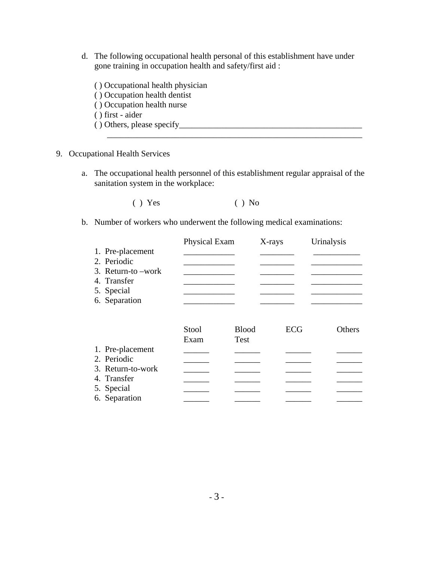- d. The following occupational health personal of this establishment have under gone training in occupation health and safety/first aid :
	- ( ) Occupational health physician ( ) Occupation health dentist ( ) Occupation health nurse ( ) first - aider  $( )$  Others, please specify  $\overline{\phantom{a}}$  , and the contribution of the contribution of the contribution of the contribution of the contribution of the contribution of the contribution of the contribution of the contribution of the contribution of the
- 9. Occupational Health Services
	- a. The occupational health personnel of this establishment regular appraisal of the sanitation system in the workplace:

 $( )$  Yes  $( )$  No

b. Number of workers who underwent the following medical examinations:

|                     | Physical Exam |              | X-rays | Urinalysis |
|---------------------|---------------|--------------|--------|------------|
| 1. Pre-placement    |               |              |        |            |
| 2. Periodic         |               |              |        |            |
| 3. Return-to – work |               |              |        |            |
| 4. Transfer         |               |              |        |            |
| 5. Special          |               |              |        |            |
| 6. Separation       |               |              |        |            |
|                     |               |              |        |            |
|                     | Stool         | <b>Blood</b> | ECG    | Others     |
|                     | Exam          | <b>Test</b>  |        |            |
| 1. Pre-placement    |               |              |        |            |
| 2. Periodic         |               |              |        |            |
| 3. Return-to-work   |               |              |        |            |
| 4. Transfer         |               |              |        |            |
| 5. Special          |               |              |        |            |
| 6. Separation       |               |              |        |            |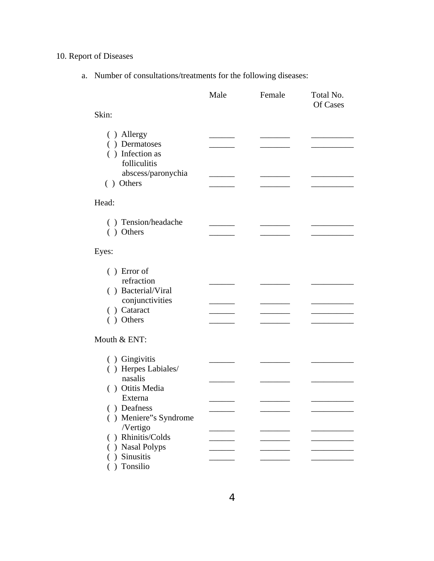# 10. Report of Diseases

a. Number of consultations/treatments for the following diseases:

|                                       | Male | Female | Total No.<br>Of Cases |
|---------------------------------------|------|--------|-----------------------|
| Skin:                                 |      |        |                       |
| ( ) Allergy                           |      |        |                       |
| () Dermatoses                         |      |        |                       |
| () Infection as                       |      |        |                       |
| folliculitis                          |      |        |                       |
| abscess/paronychia                    |      |        |                       |
| () Others                             |      |        |                       |
| Head:                                 |      |        |                       |
| () Tension/headache                   |      |        |                       |
| () Others                             |      |        |                       |
| Eyes:                                 |      |        |                       |
|                                       |      |        |                       |
| $( )$ Error of<br>refraction          |      |        |                       |
|                                       |      |        |                       |
| () Bacterial/Viral<br>conjunctivities |      |        |                       |
| () Cataract                           |      |        |                       |
| () Others                             |      |        |                       |
| Mouth & ENT:                          |      |        |                       |
| ( ) Gingivitis                        |      |        |                       |
| () Herpes Labiales/                   |      |        |                       |
| nasalis                               |      |        |                       |
| () Otitis Media                       |      |        |                       |
| Externa                               |      |        |                       |
| () Deafness                           |      |        |                       |
| () Meniere"s Syndrome                 |      |        |                       |
| /Vertigo                              |      |        |                       |
| Rhinitis/Colds<br>( )                 |      |        |                       |
| <b>Nasal Polyps</b>                   |      |        |                       |
| ) Sinusitis                           |      |        |                       |
| Tonsilio                              |      |        |                       |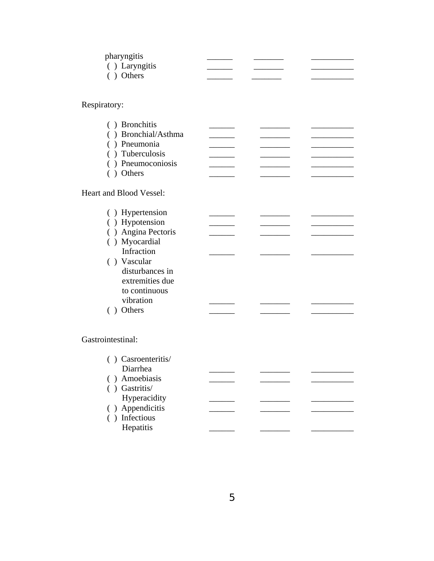| pharyngitis    |  |  |
|----------------|--|--|
| ( ) Laryngitis |  |  |
| $()$ Others    |  |  |

Respiratory:

| ( ) Bronchitis      |  |  |
|---------------------|--|--|
| () Bronchial/Asthma |  |  |
| () Pneumonia        |  |  |
| () Tuberculosis     |  |  |
| ( ) Pneumoconiosis  |  |  |
| ( ) Others          |  |  |

Heart and Blood Vessel:

| ( ) Hypertension    |  |  |
|---------------------|--|--|
| () Hypotension      |  |  |
| ( ) Angina Pectoris |  |  |
| ( ) Myocardial      |  |  |
| Infraction          |  |  |
| () Vascular         |  |  |
| disturbances in     |  |  |
| extremities due     |  |  |
| to continuous       |  |  |
| vibration           |  |  |
| Others              |  |  |

Gastrointestinal:

| ( ) Casroenteritis/ |  |  |
|---------------------|--|--|
| Diarrhea            |  |  |
| () Amoebiasis       |  |  |
| Gastritis/          |  |  |
| Hyperacidity        |  |  |
| ( ) Appendicitis    |  |  |
| () Infectious       |  |  |
| Hepatitis           |  |  |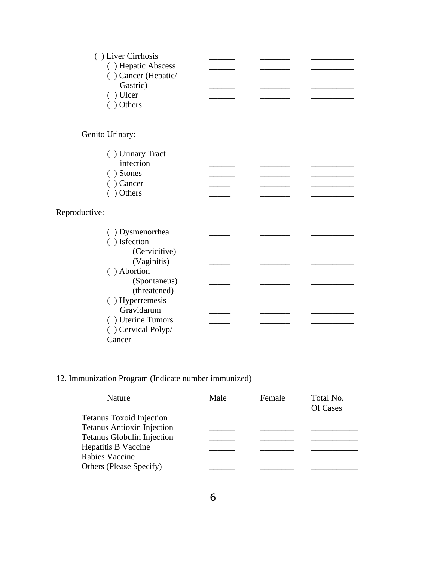| () Liver Cirrhosis  |  |  |
|---------------------|--|--|
| () Hepatic Abscess  |  |  |
| () Cancer (Hepatic/ |  |  |
|                     |  |  |
| Gastric)            |  |  |
| () Ulcer            |  |  |
| ( ) Others          |  |  |
|                     |  |  |
|                     |  |  |
| Genito Urinary:     |  |  |
|                     |  |  |
| () Urinary Tract    |  |  |
| infection           |  |  |
| () Stones           |  |  |
| $( )$ Cancer        |  |  |
| () Others           |  |  |
|                     |  |  |
|                     |  |  |
| Reproductive:       |  |  |
| () Dysmenorrhea     |  |  |
|                     |  |  |
| () Isfection        |  |  |
| (Cervicitive)       |  |  |
| (Vaginitis)         |  |  |
| () Abortion         |  |  |
| (Spontaneus)        |  |  |
| (threatened)        |  |  |
| () Hyperremesis     |  |  |
| Gravidarum          |  |  |
| () Uterine Tumors   |  |  |
|                     |  |  |
| () Cervical Polyp/  |  |  |
| Cancer              |  |  |

# 12. Immunization Program (Indicate number immunized)

| Nature                            | Male | Female | Total No.<br>Of Cases |
|-----------------------------------|------|--------|-----------------------|
| <b>Tetanus Toxoid Injection</b>   |      |        |                       |
| <b>Tetanus Antioxin Injection</b> |      |        |                       |
| <b>Tetanus Globulin Injection</b> |      |        |                       |
| Hepatitis B Vaccine               |      |        |                       |
| Rabies Vaccine                    |      |        |                       |
| Others (Please Specify)           |      |        |                       |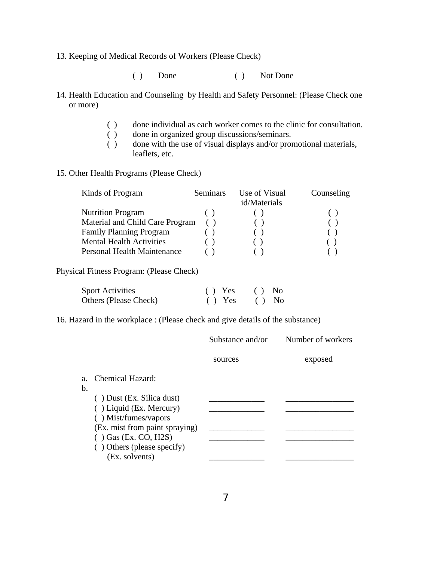- 13. Keeping of Medical Records of Workers (Please Check)
	- ( ) Done ( ) Not Done
- 14. Health Education and Counseling by Health and Safety Personnel: (Please Check one or more)
	- ( ) done individual as each worker comes to the clinic for consultation.
	- ( ) done in organized group discussions/seminars.<br>( ) done with the use of visual displays and/or prom
	- done with the use of visual displays and/or promotional materials, leaflets, etc.
- 15. Other Health Programs (Please Check)

| Seminars                        | Use of Visual | Counseling   |
|---------------------------------|---------------|--------------|
|                                 |               |              |
|                                 |               |              |
| Material and Child Care Program |               |              |
|                                 |               |              |
|                                 |               |              |
|                                 |               |              |
|                                 |               | id/Materials |

Physical Fitness Program: (Please Check)

| <b>Sport Activities</b> | $()$ Yes | $()$ No |  |
|-------------------------|----------|---------|--|
| Others (Please Check)   | $()$ Yes | $()$ No |  |

16. Hazard in the workplace : (Please check and give details of the substance)

|                                                                                                                                              | Substance and/or | Number of workers |
|----------------------------------------------------------------------------------------------------------------------------------------------|------------------|-------------------|
|                                                                                                                                              | sources          | exposed           |
| Chemical Hazard:<br>$a_{-}$<br>b.                                                                                                            |                  |                   |
| $( )$ Dust (Ex. Silica dust)<br>() Liquid (Ex. Mercury)<br>() Mist/fumes/vapors<br>(Ex. mist from paint spraying)<br>$( )$ Gas (Ex. CO, H2S) |                  |                   |
| () Others (please specify)<br>(Ex. solvents)                                                                                                 |                  |                   |